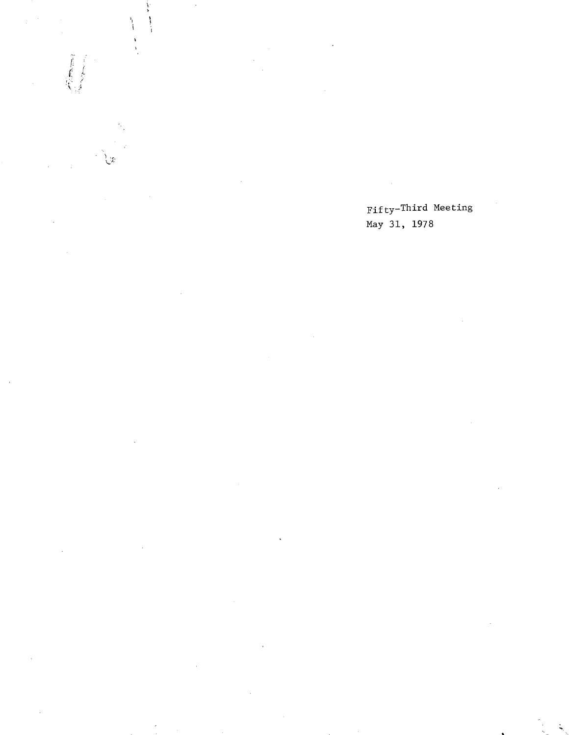Fifty-Third Meeting May 31, 1978

 $\begin{array}{c}\n\bullet \\
\bullet \\
\bullet\n\end{array}$ 

់ង

**The Contract of the Contract of the Contract of the Contract of the Contract of the Contract of the Contract o**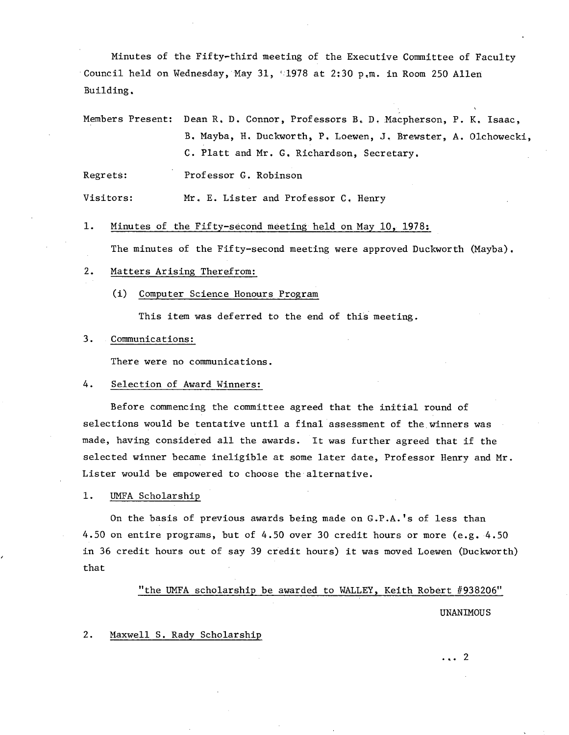Minutes of the Fifty-third meeting of the Executive Committee of Faculty Council held on Wednesday, May 31,  $\lceil$ 1978 at 2:30 p.m. in Room 250 Allen Building.

Members Present: Dean R. D. Connor, Professors B. D. Macpherson, P. K. Isaac, B. Mayba, H. Duckworth, P. Loewen, J. Brewster, A. Olchowecki, C. Platt and Mr. G. Richardson, Secretary.

Regrets: Professor G. Robinson

Visitors: Mr. E. Lister and Professor C. Henry

 $1.$ Minutes of the Fifty-second meeting held on May 10, 1978:

The minutes of the Fifty-second meeting were approved Duckworth (Mayba).

- $2.$ Matters Arising Therefrom:
	- (1) Computer Science Honours Program

This item was deferred to the end of this meeting.

#### $3.$ Communications:

There were no communications.

#### 4. Selection of Award Winners:

Before commencing the committee agreed that the initial round of selections would be tentative until a final assessment of the winners was made, having considered all the awards. It was further agreed that if the selected winner became ineligible at some later date, Professor Henry and Mr. Lister would be empowered to choose the alternative.

1. UMFA Scholarship

On the basis of previous awards being made on G.P.A.'s of less than 4.50 on entire programs, but of 4.50 over 30 credit hours or more (e.g. 4.50 in 36 credit hours out of say 39 credit hours) it was moved Loewen (Duckworth) that

"the UMFA scholarship be awarded to WALLEY. Keith Robert #938206"

#### UNANIMOUS

 $2.$ Maxwell S. Rady Scholarship

... 2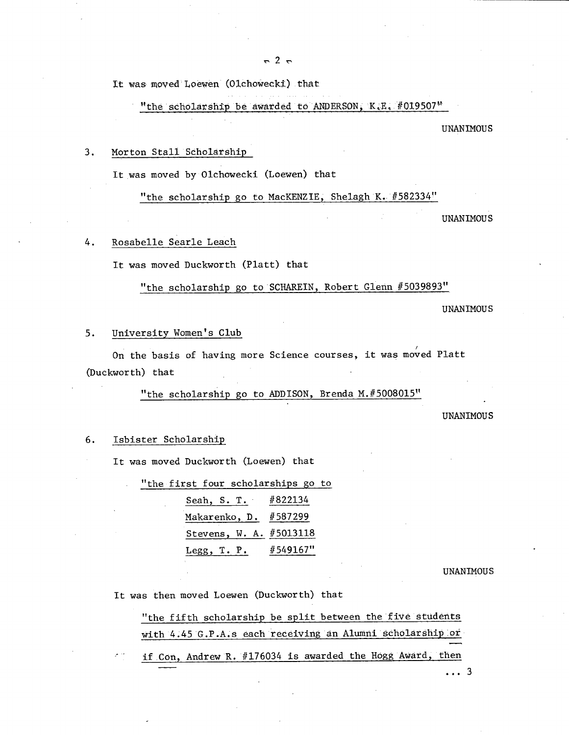It was moved Loewen (Olchowecki) that

"the scholarship be awarded to ANDERSON,  $K.E.$  #019507"

UNANIMOUS

#### $3.$ Morton Stall Scholarship

It was moved by Olchowecki (Loewen) that

"the scholarship go to MacKENZIE, Shelagh K. #582334"

UNANIMOUS

#### 4. Rosabelle Searle Leach

It was moved Duckworth (Platt) that

"the scholarship go to SCHAREIN, Robert Glenn #5039893"

UNANIMOUS

#### $5.$ University Women's Club

On the basis of having more Science courses, it was moved Platt (Duckworth) that

"the scholarship go to ADDISON, Brenda M.#5008015"

UNANIMOUS

#### $6.$ Isbister Scholarshi

It was moved Duckworth (Loewen) that

| "the first four scholarships go to |  |
|------------------------------------|--|
| Seah, S. T. #822134                |  |
| Makarenko, D. #587299              |  |
| Stevens, W. A. #5013118            |  |
| Legg, T. P. #549167"               |  |

UNANIMOUS

It was then moved Loewen (Duckworth) that

"the fifth scholarship be split between the five students with 4.45 G.P.A.s each receiving an Alumni scholarship or if Con, Andrew R. #176034 is awarded the Hogg Award, then

... 3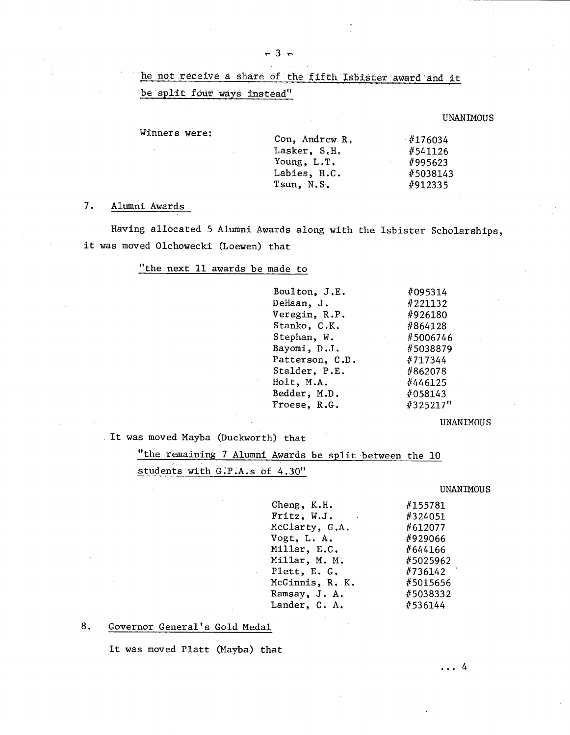## he not receive a share of the fifth Isbister award and it

be split four ways instead"

Winners were:

UNANIMOUS

| Con, Andrew R. | #176034  |
|----------------|----------|
| Lasker, S.H.   | #541126  |
| Young, L.T.    | #995623  |
| Labies, H.C.   | #5038143 |
| Tsun, N.S.     | #912335  |
|                |          |

### 7. Alumni Awards

Having allocated 5 Alumni Awards along with the Isbister Scholarships, it was moved Olchowecki (Loewen) that

### "the next 11 awards be made to

| #095314<br>#221132 |
|--------------------|
|                    |
|                    |
| #926180            |
| #864128            |
| $\#5006746$        |
| #5038879           |
| #717344            |
| #862078            |
| #446125            |
| #058143            |
| #325217"           |
|                    |

#### UNANIMOUS

It was moved Mayba (Duckworth) that

"the remaining 7 Alumni Awards be split between the 10 students with G.P.A.s of 4.30"

UNANIMOUS

| Cheng, K.H.                      | #155781  |
|----------------------------------|----------|
| Fritz, W.J.<br><b>Contractor</b> | #324051  |
| McClarty, G.A.                   | #612077  |
| Vogt, L. A.                      | #929066  |
| Millar, E.C.                     | #644166  |
| Millar, M. M.                    | #5025962 |
| Plett, E. G.                     | #736142  |
| McGinnis, R. K.                  | #5015656 |
| Ramsay, J. A.                    | #5038332 |
| Lander, C. A.                    | #536144  |
|                                  |          |

### 8. Governor General's Gold Medal

It was moved Platt (Mayba) that

... 4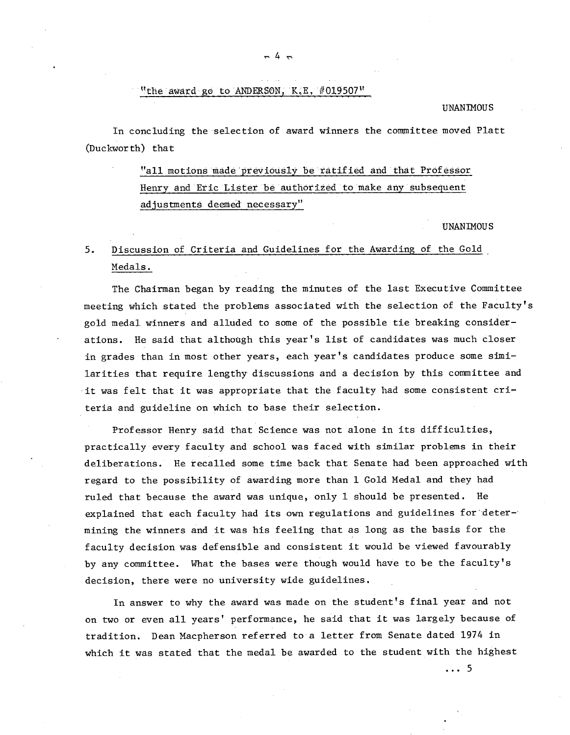### "the award go to ANDERSON, K.E.  $#019507$ "

#### UNAN **MOUS**

In concluding the selection of award winners the committee moved Platt (Duckworth) that

> "all motions made previously be ratified and that Professor Henry and Eric Liäter be authorized to make any subsequent adjustments deemed necessary"

> > UNANIMOUS

# 5. Discussion of Criteria and Guidelines for the Awarding of the Gold Medals.

The Chairman began by reading the minutes of the last Executive Committee meeting which stated the problems associated with the selection of the Faculty's gold medal winners and alluded to some of the possible tie breaking considerations. He said that although this year's list of candidates was much closer in grades than in most other years, each year's candidates produce some similarities that require lengthy discussions and a decision by this committee and it was felt that it was appropriate that the faculty had some consistent cr1 teria and guideline on which to base their selection.

Professor Henry said that Science was not alone in its difficulties, practically every faculty and school was faced with similar problems in their deliberations. He recalled some time back that Senate had been approached with regard to the possibility of awarding more than 1 Gold Medal and they had ruled that because the award was unique, only 1 should be presented. He explained that each faculty had its own regulations and guidelines for :deter-' mining the winners and it was his feeling that as long as the basis for the faculty decision was defensible and consistent it would be viewed favourably by any committee. What the bases were though would have to be the faculty's decision, there were no university wide guidelines.

In answer to why the award was made on the student's final year and not on two or even all years' performance, he said that it was largely because of tradition. Dean Macpherson referred to a letter from Senate dated 1974 in which it was stated that the medal be awarded to the student with the highest

 $\ldots$  5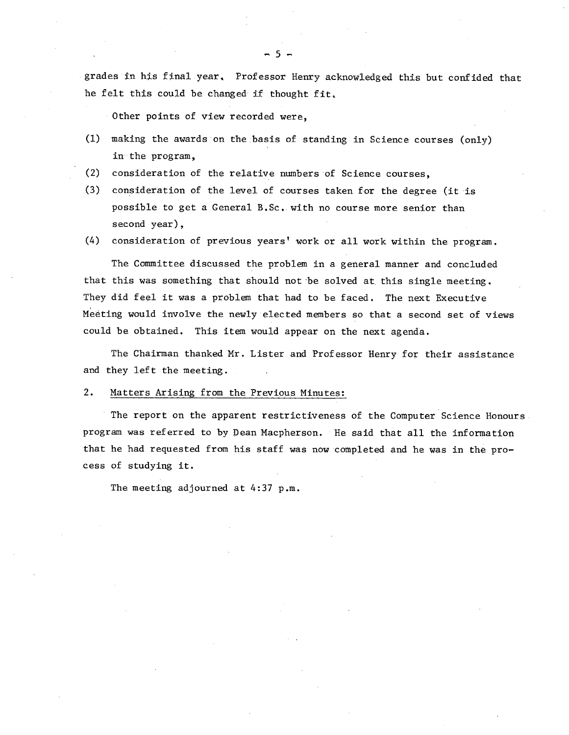grades in his final year. Professor Henry acknowledged this but confided that he felt this could be changed if thought fit,

Other points of view recorded were,

- $(1)$  making the awards on the basis of standing in Science courses (only) in the program,
- $(2)$ consideration of the relative numbers of Science courses,
- consideration of the level of courses taken for the degree (it is possible to get a General B.Sc.. with no course more senior than second year),
- consideration of previous years' work or all work within the program.

The Committee discussed the problem in a general manner and concluded that this was something that should not be solved at this single meeting. They did feel it was a problem that had to be faced. The next Executive Meeting would involve the newly elected members so that a second set of views could be obtained. This item would appear on the next agenda.

The Chairman thanked Mr. Lister and Professor Henry for their assistance and they left the meeting.

### 2. Matters Arising from the Previous Minutes:

The report on the apparent restrictiveness of the Computer Science Honours program was referred to by Dean Macpherson. He said that all the information that he had requested from his staff was now completed and he was in the process of studying it.

The meeting adjourned at 4:37 p.m.